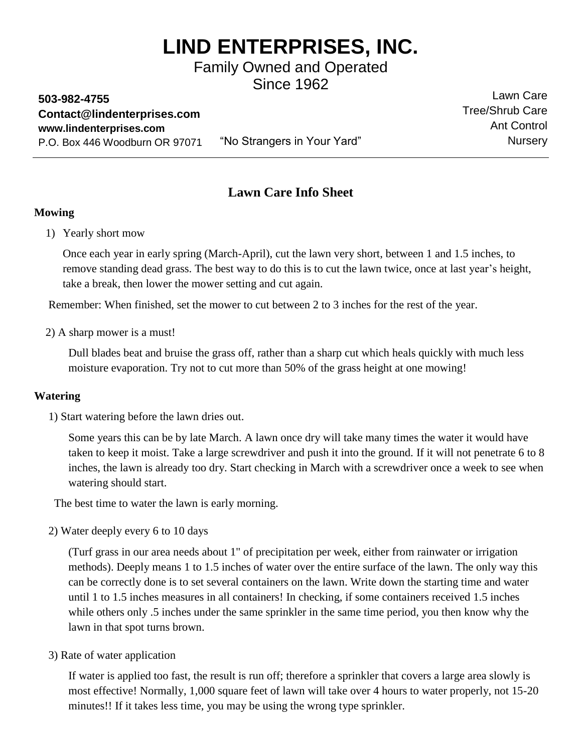# **LIND ENTERPRISES, INC.**

Family Owned and Operated Since 1962

**503-982-4755 [Contact@lindenterprises.com](mailto:Contact@lindenterprises.com) [www.lindenterprises.com](http://www.lindenterprises.com/)** P.O. Box 446 Woodburn OR 97071

"No Strangers in Your Yard"

### Lawn Care Tree/Shrub Care Ant Control **Nursery**

## **Lawn Care Info Sheet**

#### **Mowing**

1) Yearly short mow

Once each year in early spring (March-April), cut the lawn very short, between 1 and 1.5 inches, to remove standing dead grass. The best way to do this is to cut the lawn twice, once at last year's height, take a break, then lower the mower setting and cut again.

Remember: When finished, set the mower to cut between 2 to 3 inches for the rest of the year.

2) A sharp mower is a must!

Dull blades beat and bruise the grass off, rather than a sharp cut which heals quickly with much less moisture evaporation. Try not to cut more than 50% of the grass height at one mowing!

#### **Watering**

1) Start watering before the lawn dries out.

Some years this can be by late March. A lawn once dry will take many times the water it would have taken to keep it moist. Take a large screwdriver and push it into the ground. If it will not penetrate 6 to 8 inches, the lawn is already too dry. Start checking in March with a screwdriver once a week to see when watering should start.

The best time to water the lawn is early morning.

2) Water deeply every 6 to 10 days

(Turf grass in our area needs about 1" of precipitation per week, either from rainwater or irrigation methods). Deeply means 1 to 1.5 inches of water over the entire surface of the lawn. The only way this can be correctly done is to set several containers on the lawn. Write down the starting time and water until 1 to 1.5 inches measures in all containers! In checking, if some containers received 1.5 inches while others only .5 inches under the same sprinkler in the same time period, you then know why the lawn in that spot turns brown.

3) Rate of water application

If water is applied too fast, the result is run off; therefore a sprinkler that covers a large area slowly is most effective! Normally, 1,000 square feet of lawn will take over 4 hours to water properly, not 15-20 minutes!! If it takes less time, you may be using the wrong type sprinkler.